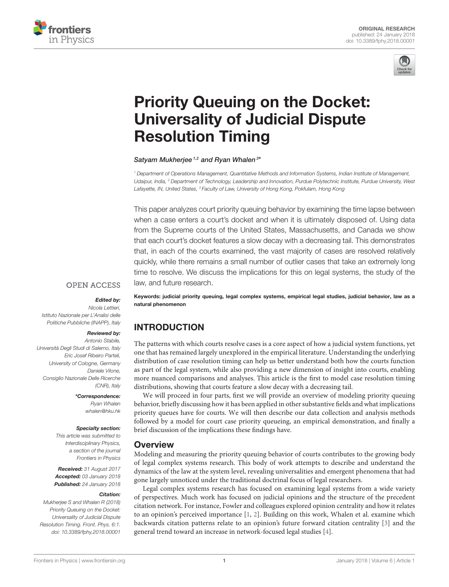



# Priority Queuing on the Docket: [Universality of Judicial Dispute](https://www.frontiersin.org/articles/10.3389/fphy.2018.00001/full) Resolution Timing

[Satyam Mukherjee](http://loop.frontiersin.org/people/473169/overview)<sup>1,2</sup> and [Ryan Whalen](http://loop.frontiersin.org/people/403148/overview)<sup>3\*</sup>

<sup>1</sup> Department of Operations Management, Quantitative Methods and Information Systems, Indian Institute of Management, Udaipur, India, <sup>2</sup> Department of Technology, Leadership and Innovation, Purdue Polytechnic Institute, Purdue University, West Lafayette, IN, United States, <sup>3</sup> Faculty of Law, University of Hong Kong, Pokfulam, Hong Kong

This paper analyzes court priority queuing behavior by examining the time lapse between when a case enters a court's docket and when it is ultimately disposed of. Using data from the Supreme courts of the United States, Massachusetts, and Canada we show that each court's docket features a slow decay with a decreasing tail. This demonstrates that, in each of the courts examined, the vast majority of cases are resolved relatively quickly, while there remains a small number of outlier cases that take an extremely long time to resolve. We discuss the implications for this on legal systems, the study of the law, and future research.

### **OPEN ACCESS**

#### Edited by:

Nicola Lettieri Istituto Nazionale per L'Analisi delle Politiche Pubbliche (INAPP), Italy

#### Reviewed by:

Antonio Stabile, Università Degli Studi di Salerno, Italy Eric Josef Ribeiro Parteli, University of Cologne, Germany Daniele Vilone, Consiglio Nazionale Delle Ricerche (CNR), Italy

#### \*Correspondence:

Ryan Whalen [whalen@hku.hk](mailto:whalen@hku.hk)

#### Specialty section:

This article was submitted to Interdisciplinary Physics, a section of the journal Frontiers in Physics

Received: 31 August 2017 Accepted: 03 January 2018 Published: 24 January 2018

#### Citation:

Mukherjee S and Whalen R (2018) Priority Queuing on the Docket: Universality of Judicial Dispute Resolution Timing. Front. Phys. 6:1. doi: [10.3389/fphy.2018.00001](https://doi.org/10.3389/fphy.2018.00001)

Keywords: judicial priority queuing, legal complex systems, empirical legal studies, judicial behavior, law as a natural phenomenon

# INTRODUCTION

The patterns with which courts resolve cases is a core aspect of how a judicial system functions, yet one that has remained largely unexplored in the empirical literature. Understanding the underlying distribution of case resolution timing can help us better understand both how the courts function as part of the legal system, while also providing a new dimension of insight into courts, enabling more nuanced comparisons and analyses. This article is the first to model case resolution timing distributions, showing that courts feature a slow decay with a decreasing tail.

We will proceed in four parts, first we will provide an overview of modeling priority queuing behavior, briefly discussing how it has been applied in other substantive fields and what implications priority queues have for courts. We will then describe our data collection and analysis methods followed by a model for court case priority queueing, an empirical demonstration, and finally a brief discussion of the implications these findings have.

## **Overview**

Modeling and measuring the priority queuing behavior of courts contributes to the growing body of legal complex systems research. This body of work attempts to describe and understand the dynamics of the law at the system level, revealing universalities and emergent phenomena that had gone largely unnoticed under the traditional doctrinal focus of legal researchers.

Legal complex systems research has focused on examining legal systems from a wide variety of perspectives. Much work has focused on judicial opinions and the structure of the precedent citation network. For instance, Fowler and colleagues explored opinion centrality and how it relates to an opinion's perceived importance [\[1,](#page-5-0) [2\]](#page-5-1). Building on this work, Whalen et al. examine which backwards citation patterns relate to an opinion's future forward citation centrality [\[3\]](#page-5-2) and the general trend toward an increase in network-focused legal studies [\[4\]](#page-5-3).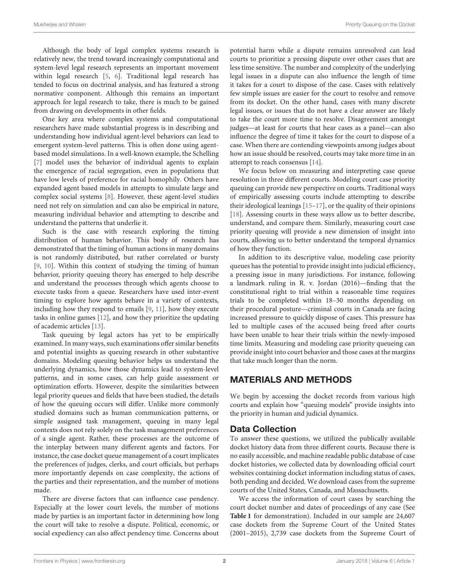Although the body of legal complex systems research is relatively new, the trend toward increasingly computational and system-level legal research represents an important movement within legal research [\[5,](#page-5-4) [6\]](#page-5-5). Traditional legal research has tended to focus on doctrinal analysis, and has featured a strong normative component. Although this remains an important approach for legal research to take, there is much to be gained from drawing on developments in other fields.

One key area where complex systems and computational researchers have made substantial progress is in describing and understanding how individual agent-level behaviors can lead to emergent system-level patterns. This is often done using agentbased model simulations. In a well-known example, the Schelling [\[7\]](#page-5-6) model uses the behavior of individual agents to explain the emergence of racial segregation, even in populations that have low levels of preference for racial homophily. Others have expanded agent based models in attempts to simulate large and complex social systems [\[8\]](#page-5-7). However, these agent-level studies need not rely on simulation and can also be empirical in nature, measuring individual behavior and attempting to describe and understand the patterns that underlie it.

Such is the case with research exploring the timing distribution of human behavior. This body of research has demonstrated that the timing of human actions in many domains is not randomly distributed, but rather correlated or bursty [\[9,](#page-5-8) [10\]](#page-5-9). Within this context of studying the timing of human behavior, priority queuing theory has emerged to help describe and understand the processes through which agents choose to execute tasks from a queue. Researchers have used inter-event timing to explore how agents behave in a variety of contexts, including how they respond to emails [\[9,](#page-5-8) [11\]](#page-5-10), how they execute tasks in online games [\[12\]](#page-5-11), and how they prioritize the updating of academic articles [\[13\]](#page-6-0).

Task queuing by legal actors has yet to be empirically examined. In many ways, such examinations offer similar benefits and potential insights as queuing research in other substantive domains. Modeling queuing behavior helps us understand the underlying dynamics, how those dynamics lead to system-level patterns, and in some cases, can help guide assessment or optimization efforts. However, despite the similarities between legal priority queues and fields that have been studied, the details of how the queuing occurs will differ. Unlike more commonly studied domains such as human communication patterns, or simple assigned task management, queuing in many legal contexts does not rely solely on the task management preferences of a single agent. Rather, these processes are the outcome of the interplay between many different agents and factors. For instance, the case docket queue management of a court implicates the preferences of judges, clerks, and court officials, but perhaps more importantly depends on case complexity, the actions of the parties and their representation, and the number of motions made.

There are diverse factors that can influence case pendency. Especially at the lower court levels, the number of motions made by parties is an important factor in determining how long the court will take to resolve a dispute. Political, economic, or social expediency can also affect pendency time. Concerns about

potential harm while a dispute remains unresolved can lead courts to prioritize a pressing dispute over other cases that are less time sensitive. The number and complexity of the underlying legal issues in a dispute can also influence the length of time it takes for a court to dispose of the case. Cases with relatively few simple issues are easier for the court to resolve and remove from its docket. On the other hand, cases with many discrete legal issues, or issues that do not have a clear answer are likely to take the court more time to resolve. Disagreement amongst judges—at least for courts that hear cases as a panel—can also influence the degree of time it takes for the court to dispose of a case. When there are contending viewpoints among judges about how an issue should be resolved, courts may take more time in an attempt to reach consensus [\[14\]](#page-6-1).

We focus below on measuring and interpreting case queue resolution in three different courts. Modeling court case priority queuing can provide new perspective on courts. Traditional ways of empirically assessing courts include attempting to describe their ideological leanings [\[15–](#page-6-2)[17\]](#page-6-3), or the quality of their opinions [\[18\]](#page-6-4). Assessing courts in these ways allow us to better describe, understand, and compare them. Similarly, measuring court case priority queuing will provide a new dimension of insight into courts, allowing us to better understand the temporal dynamics of how they function.

In addition to its descriptive value, modeling case priority queues has the potential to provide insight into judicial efficiency, a pressing issue in many jurisdictions. For instance, following a landmark ruling in R. v. Jordan (2016)—finding that the constitutional right to trial within a reasonable time requires trials to be completed within 18–30 months depending on their procedural posture—criminal courts in Canada are facing increased pressure to quickly dispose of cases. This pressure has led to multiple cases of the accused being freed after courts have been unable to hear their trials within the newly-imposed time limits. Measuring and modeling case priority queueing can provide insight into court behavior and those cases at the margins that take much longer than the norm.

# MATERIALS AND METHODS

We begin by accessing the docket records from various high courts and explain how "queuing models" provide insights into the priority in human and judicial dynamics.

## Data Collection

To answer these questions, we utilized the publically available docket history data from three different courts. Because there is no easily accessible, and machine readable public database of case docket histories, we collected data by downloading official court websites containing docket information including status of cases, both pending and decided. We download cases from the supreme courts of the United States, Canada, and Massachusetts.

We access the information of court cases by searching the court docket number and dates of proceedings of any case (See **[Table 1](#page-2-0)** for demonstration). Included in our sample are 24,607 case dockets from the Supreme Court of the United States (2001–2015), 2,739 case dockets from the Supreme Court of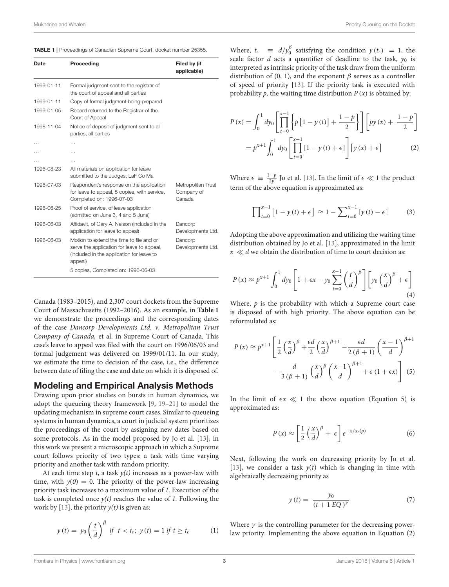<span id="page-2-0"></span>

| TABLE 1   Proceedings of Canadian Supreme Court, docket number 25355. |  |  |
|-----------------------------------------------------------------------|--|--|
|-----------------------------------------------------------------------|--|--|

| Date       | Proceeding                                                                                                                                     | Filed by (if<br>applicable)                |
|------------|------------------------------------------------------------------------------------------------------------------------------------------------|--------------------------------------------|
| 1999-01-11 | Formal judgment sent to the registrar of<br>the court of appeal and all parties                                                                |                                            |
| 1999-01-11 | Copy of formal judgment being prepared                                                                                                         |                                            |
| 1999-01-05 | Record returned to the Registrar of the<br>Court of Appeal                                                                                     |                                            |
| 1998-11-04 | Notice of deposit of judgment sent to all<br>parties, all parties                                                                              |                                            |
|            | .                                                                                                                                              |                                            |
| .          | .                                                                                                                                              |                                            |
|            | .                                                                                                                                              |                                            |
| 1996-08-23 | All materials on application for leave<br>submitted to the Judges, LaF Co Ma                                                                   |                                            |
| 1996-07-03 | Respondent's response on the application<br>for leave to appeal, 5 copies, with service,<br>Completed on: 1996-07-03                           | Metropolitan Trust<br>Company of<br>Canada |
| 1996-06-25 | Proof of service, of leave application<br>(admitted on June 3, 4 and 5 June)                                                                   |                                            |
| 1996-06-03 | Affidavit, of Gary A. Nelson (included in the<br>application for leave to appeal)                                                              | Dancorp<br>Developments Ltd.               |
| 1996-06-03 | Motion to extend the time to file and or<br>serve the application for leave to appeal,<br>(included in the application for leave to<br>appeal) | Dancorp<br>Developments Ltd.               |
|            | 5 copies, Completed on: 1996-06-03                                                                                                             |                                            |

Canada (1983–2015), and 2,307 court dockets from the Supreme Court of Massachusetts (1992–2016). As an example, in **[Table 1](#page-2-0)** we demonstrate the proceedings and the corresponding dates of the case Dancorp Developments Ltd. v. Metropolitan Trust Company of Canada, et al. in Supreme Court of Canada. This case's leave to appeal was filed with the court on 1996/06/03 and formal judgement was delivered on 1999/01/11. In our study, we estimate the time to decision of the case, i.e., the difference between date of filing the case and date on which it is disposed of.

#### Modeling and Empirical Analysis Methods

Drawing upon prior studies on bursts in human dynamics, we adopt the queueing theory framework [\[9,](#page-5-8) [19](#page-6-5)[–21\]](#page-6-6) to model the updating mechanism in supreme court cases. Similar to queueing systems in human dynamics, a court in judicial system prioritizes the proceedings of the court by assigning new dates based on some protocols. As in the model proposed by Jo et al. [\[13\]](#page-6-0), in this work we present a microscopic approach in which a Supreme court follows priority of two types: a task with time varying priority and another task with random priority.

At each time step  $t$ , a task  $y(t)$  increases as a power-law with time, with  $y(0) = 0$ . The priority of the power-law increasing priority task increases to a maximum value of 1. Execution of the task is completed once  $y(t)$  reaches the value of 1. Following the work by [\[13\]](#page-6-0), the priority  $y(t)$  is given as:

$$
y(t) = y_0 \left(\frac{t}{d}\right)^{\beta}
$$
 if  $t < t_c$ ;  $y(t) = 1$  if  $t \ge t_c$  (1)

Where,  $t_c \equiv d/y_0^{\beta}$  satisfying the condition  $y(t_c) = 1$ , the scale factor d acts a quantifier of deadline to the task,  $y_0$  is interpreted as intrinsic priority of the task draw from the uniform distribution of (0, 1), and the exponent  $\beta$  serves as a controller of speed of priority [\[13\]](#page-6-0). If the priority task is executed with probability p, the waiting time distribution  $P(x)$  is obtained by:

$$
P(x) = \int_0^1 dy_0 \left[ \prod_{t=0}^{x-1} \left\{ p \left[ 1 - y(t) \right] + \frac{1-p}{2} \right\} \right] \left[ py(x) + \frac{1-p}{2} \right]
$$
  
=  $p^{x+1} \int_0^1 dy_0 \left[ \prod_{t=0}^{x-1} \left[ 1 - y(t) + \epsilon \right] \right] \left[ y(x) + \epsilon \right]$  (2)

Where  $\epsilon \equiv \frac{1-p}{2p}$  $\frac{-p}{2p}$  Jo et al. [\[13\]](#page-6-0). In the limit of  $\epsilon \ll 1$  the product term of the above equation is approximated as:

$$
\prod_{t=0}^{x-1} \left[1 - y(t) + \epsilon\right] \approx 1 - \sum_{t=0}^{x-1} \left[y(t) - \epsilon\right] \tag{3}
$$

Adopting the above approximation and utilizing the waiting time distribution obtained by Jo et al. [\[13\]](#page-6-0), approximated in the limit  $x \ll d$  we obtain the distribution of time to court decision as:

$$
P(x) \approx p^{x+1} \int_0^1 dy_0 \left[ 1 + \epsilon x - y_0 \sum_{t=0}^{x-1} \left( \frac{t}{d} \right)^{\beta} \right] \left[ y_0 \left( \frac{x}{d} \right)^{\beta} + \epsilon \right] \tag{4}
$$

Where,  $p$  is the probability with which a Supreme court case is disposed of with high priority. The above equation can be reformulated as:

$$
P(x) \approx p^{x+1} \left[ \frac{1}{2} \left( \frac{x}{d} \right)^{\beta} + \frac{\epsilon d}{2} \left( \frac{x}{d} \right)^{\beta+1} - \frac{\epsilon d}{2(\beta+1)} \left( \frac{x-1}{d} \right)^{\beta+1} - \frac{d}{3(\beta+1)} \left( \frac{x}{d} \right)^{\beta} \left( \frac{x-1}{d} \right)^{\beta+1} + \epsilon (1 + \epsilon x) \right] (5)
$$

In the limit of  $\epsilon x \ll 1$  the above equation (Equation 5) is approximated as:

$$
P(x) \approx \left[\frac{1}{2}\left(\frac{x}{d}\right)^{\beta} + \epsilon\right]e^{-x/x_c(p)}\tag{6}
$$

Next, following the work on decreasing priority by Jo et al. [\[13\]](#page-6-0), we consider a task  $y(t)$  which is changing in time with algebraically decreasing priority as

$$
y(t) = \frac{y_0}{(t + 1EQ)^{\gamma}}
$$
\n<sup>(7)</sup>

Where  $\gamma$  is the controlling parameter for the decreasing powerlaw priority. Implementing the above equation in Equation (2)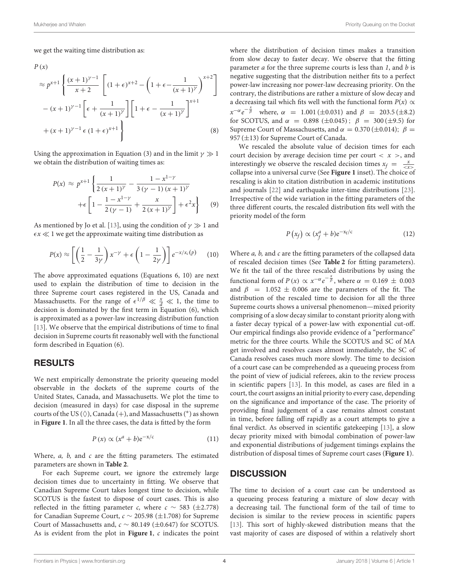we get the waiting time distribution as:

 $P(x)$ 

$$
\approx p^{x+1} \left\{ \frac{(x+1)^{\gamma-1}}{x+2} \left[ (1+\epsilon)^{x+2} - \left( 1 + \epsilon - \frac{1}{(x+1)^{\gamma}} \right)^{x+2} \right] - (x+1)^{\gamma-1} \left[ \epsilon + \frac{1}{(x+1)^{\gamma}} \right] \left[ 1 + \epsilon - \frac{1}{(x+1)^{\gamma}} \right]^{x+1} + (x+1)^{\gamma-1} \epsilon (1+\epsilon)^{x+1} \right\}
$$
\n(8)

Using the approximation in Equation (3) and in the limit  $\gamma \gg 1$ we obtain the distribution of waiting times as:

$$
P(x) \approx p^{x+1} \left\{ \frac{1}{2(x+1)^{\gamma}} - \frac{1-x^{1-\gamma}}{3(\gamma-1)(x+1)^{\gamma}} + \epsilon \left[ 1 - \frac{1-x^{1-\gamma}}{2(\gamma-1)} + \frac{x}{2(x+1)^{\gamma}} \right] + \epsilon^{2} x \right\}
$$
(9)

As mentioned by Jo et al. [\[13\]](#page-6-0), using the condition of  $\gamma \gg 1$  and  $\epsilon x \ll 1$  we get the approximate waiting time distribution as

$$
P(x) \approx \left[ \left( \frac{1}{2} - \frac{1}{3\gamma} \right) x^{-\gamma} + \epsilon \left( 1 - \frac{1}{2\gamma} \right) \right] e^{-x/x_c(p)} \tag{10}
$$

The above approximated equations (Equations 6, 10) are next used to explain the distribution of time to decision in the three Supreme court cases registered in the US, Canada and Massachusetts. For the range of  $\epsilon^{1/\beta} \ll \frac{x}{d} \ll 1$ , the time to decision is dominated by the first term in Equation (6), which is approximated as a power-law increasing distribution function [\[13\]](#page-6-0). We observe that the empirical distributions of time to final decision in Supreme courts fit reasonably well with the functional form described in Equation (6).

## RESULTS

We next empirically demonstrate the priority queueing model observable in the dockets of the supreme courts of the United States, Canada, and Massachusetts. We plot the time to decision (measured in days) for case disposal in the supreme courts of the US  $(\Diamond)$ , Canada  $(+)$ , and Massachusetts  $(*)$  as shown in **[Figure 1](#page-4-0)**. In all the three cases, the data is fitted by the form

$$
P(x) \propto (x^a + b)e^{-x/c} \tag{11}
$$

Where,  $a$ ,  $b$ , and  $c$  are the fitting parameters. The estimated parameters are shown in **[Table 2](#page-4-1)**.

For each Supreme court, we ignore the extremely large decision times due to uncertainty in fitting. We observe that Canadian Supreme Court takes longest time to decision, while SCOTUS is the fastest to dispose of court cases. This is also reflected in the fitting parameter c, where  $c \sim 583 \ (\pm 2.778)$ for Canadian Supreme Court,  $c \sim 205.98 \ (\pm 1.708)$  for Supreme Court of Massachusetts and,  $c \sim 80.149 \ (\pm 0.647)$  for SCOTUS. As is evident from the plot in **[Figure 1](#page-4-0)**, c indicates the point where the distribution of decision times makes a transition from slow decay to faster decay. We observe that the fitting parameter  $a$  for the three supreme courts is less than  $1$ , and  $b$  is negative suggesting that the distribution neither fits to a perfect power-law increasing nor power-law decreasing priority. On the contrary, the distributions are rather a mixture of slow decay and a decreasing tail which fits well with the functional form  $P(x) \propto$  $x^{-\alpha}e^{-\frac{x}{\beta}}$  where,  $\alpha = 1.001 (\pm 0.031)$  and  $\beta = 203.5 (\pm 8.2)$ for SCOTUS, and  $\alpha = 0.898 \ (\pm 0.045)$ ;  $\beta = 300 \ (\pm 9.5)$  for Supreme Court of Massachusetts, and  $\alpha = 0.370 \, (\pm 0.014)$ ;  $\beta =$ 957 (±13) for Supreme Court of Canada.

We rescaled the absolute value of decision times for each court decision by average decision time per court  $\langle x \rangle$ , and interestingly we observe the rescaled decision times  $x_f = \frac{x}{\langle x \rangle}$ collapse into a universal curve (See **[Figure 1](#page-4-0)** inset). The choice of rescaling is akin to citation distribution in academic institutions and journals [\[22\]](#page-6-7) and earthquake inter-time distributions [\[23\]](#page-6-8). Irrespective of the wide variation in the fitting parameters of the three different courts, the rescaled distribution fits well with the priority model of the form

$$
P(x_f) \propto (x_f^a + b)e^{-x_f/c} \tag{12}
$$

Where  $a$ ,  $b$ , and  $c$  are the fitting parameters of the collapsed data of rescaled decision times (See **[Table 2](#page-4-1)** for fitting parameters). We fit the tail of the three rescaled distributions by using the functional form of  $P(x) \propto x^{-\alpha} e^{-\frac{x}{\beta}}$ , where  $\alpha = 0.169 \pm 0.003$ and  $\beta$  = 1.052  $\pm$  0.006 are the parameters of the fit. The distribution of the rescaled time to decision for all the three Supreme courts shows a universal phenomenon—mixed priority comprising of a slow decay similar to constant priority along with a faster decay typical of a power-law with exponential cut-off. Our empirical findings also provide evidence of a "performance" metric for the three courts. While the SCOTUS and SC of MA get involved and resolves cases almost immediately, the SC of Canada resolves cases much more slowly. The time to decision of a court case can be comprehended as a queueing process from the point of view of judicial referees, akin to the review process in scientific papers [\[13\]](#page-6-0). In this model, as cases are filed in a court, the court assigns an initial priority to every case, depending on the significance and importance of the case. The priority of providing final judgement of a case remains almost constant in time, before falling off rapidly as a court attempts to give a final verdict. As observed in scientific gatekeeping [\[13\]](#page-6-0), a slow decay priority mixed with bimodal combination of power-law and exponential distributions of judgement timings explains the distribution of disposal times of Supreme court cases (**[Figure 1](#page-4-0)**).

#### **DISCUSSION**

The time to decision of a court case can be understood as a queueing process featuring a mixture of slow decay with a decreasing tail. The functional form of the tail of time to decision is similar to the review process in scientific papers [\[13\]](#page-6-0). This sort of highly-skewed distribution means that the vast majority of cases are disposed of within a relatively short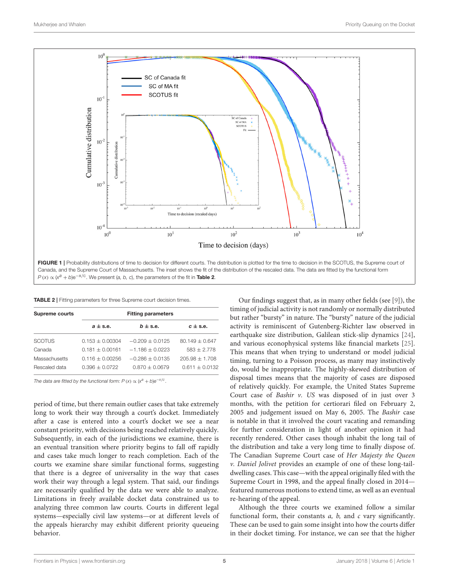

#### <span id="page-4-1"></span><span id="page-4-0"></span>TABLE 2 | Fitting parameters for three Supreme court decision times.

| Supreme courts | <b>Fitting parameters</b> |                   |                  |  |
|----------------|---------------------------|-------------------|------------------|--|
|                | $a \pm$ s.e.              | $b \pm$ s.e.      | $c \pm s.e.$     |  |
| <b>SCOTUS</b>  | $0.153 + 0.00304$         | $-0.209 + 0.0125$ | $80.149 + 0.647$ |  |
| Canada         | $0.181 + 0.00161$         | $-1.186 + 0.0223$ | $583 + 2.778$    |  |
| Massachusetts  | $0.116 + 0.00256$         | $-0.286 + 0.0135$ | $205.98 + 1.708$ |  |
| Rescaled data  | $0.396 + 0.0722$          | $0.870 + 0.0679$  | $0.611 + 0.0132$ |  |

The data are fitted by the functional form:  $P(x) \propto (x^a + b)e^{-x/c}$ .

period of time, but there remain outlier cases that take extremely long to work their way through a court's docket. Immediately after a case is entered into a court's docket we see a near constant priority, with decisions being reached relatively quickly. Subsequently, in each of the jurisdictions we examine, there is an eventual transition where priority begins to fall off rapidly and cases take much longer to reach completion. Each of the courts we examine share similar functional forms, suggesting that there is a degree of universality in the way that cases work their way through a legal system. That said, our findings are necessarily qualified by the data we were able to analyze. Limitations in freely available docket data constrained us to analyzing three common law courts. Courts in different legal systems—especially civil law systems—or at different levels of the appeals hierarchy may exhibit different priority queueing behavior.

Our findings suggest that, as in many other fields (see [\[9\]](#page-5-8)), the timing of judicial activity is not randomly or normally distributed but rather "bursty" in nature. The "bursty" nature of the judicial activity is reminiscent of Gutenberg-Richter law observed in earthquake size distribution, Galilean stick-slip dynamics [\[24\]](#page-6-9), and various econophysical systems like financial markets [\[25\]](#page-6-10). This means that when trying to understand or model judicial timing, turning to a Poisson process, as many may instinctively do, would be inappropriate. The highly-skewed distribution of disposal times means that the majority of cases are disposed of relatively quickly. For example, the United States Supreme Court case of Bashir v. US was disposed of in just over 3 months, with the petition for certiorari filed on February 2, 2005 and judgement issued on May 6, 2005. The Bashir case is notable in that it involved the court vacating and remanding for further consideration in light of another opinion it had recently rendered. Other cases though inhabit the long tail of the distribution and take a very long time to finally dispose of. The Canadian Supreme Court case of Her Majesty the Queen v. Daniel Jolivet provides an example of one of these long-taildwelling cases. This case—with the appeal originally filed with the Supreme Court in 1998, and the appeal finally closed in 2014 featured numerous motions to extend time, as well as an eventual re-hearing of the appeal.

Although the three courts we examined follow a similar functional form, their constants  $a$ ,  $b$ , and  $c$  vary significantly. These can be used to gain some insight into how the courts differ in their docket timing. For instance, we can see that the higher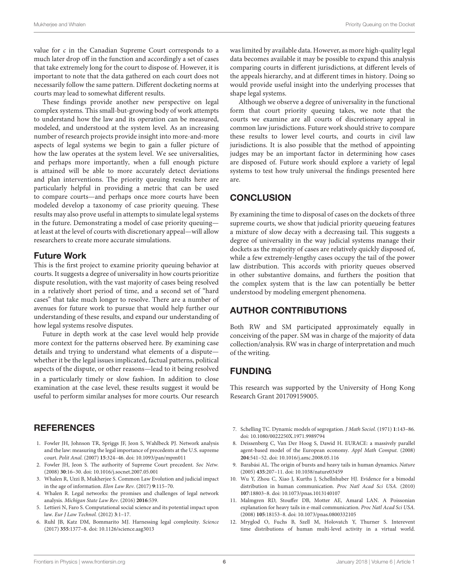value for  $c$  in the Canadian Supreme Court corresponds to a much later drop off in the function and accordingly a set of cases that take extremely long for the court to dispose of. However, it is important to note that the data gathered on each court does not necessarily follow the same pattern. Different docketing norms at courts may lead to somewhat different results.

These findings provide another new perspective on legal complex systems. This small-but-growing body of work attempts to understand how the law and its operation can be measured, modeled, and understood at the system level. As an increasing number of research projects provide insight into more-and-more aspects of legal systems we begin to gain a fuller picture of how the law operates at the system level. We see universalities, and perhaps more importantly, when a full enough picture is attained will be able to more accurately detect deviations and plan interventions. The priority queuing results here are particularly helpful in providing a metric that can be used to compare courts—and perhaps once more courts have been modeled develop a taxonomy of case priority queuing. These results may also prove useful in attempts to simulate legal systems in the future. Demonstrating a model of case priority queuing at least at the level of courts with discretionary appeal—will allow researchers to create more accurate simulations.

## Future Work

This is the first project to examine priority queuing behavior at courts. It suggests a degree of universality in how courts prioritize dispute resolution, with the vast majority of cases being resolved in a relatively short period of time, and a second set of "hard cases" that take much longer to resolve. There are a number of avenues for future work to pursue that would help further our understanding of these results, and expand our understanding of how legal systems resolve disputes.

Future in depth work at the case level would help provide more context for the patterns observed here. By examining case details and trying to understand what elements of a dispute whether it be the legal issues implicated, factual patterns, political aspects of the dispute, or other reasons—lead to it being resolved

in a particularly timely or slow fashion. In addition to close examination at the case level, these results suggest it would be useful to perform similar analyses for more courts. Our research

# **REFERENCES**

- <span id="page-5-0"></span>1. Fowler JH, Johnson TR, Spriggs JF, Jeon S, Wahlbeck PJ. Network analysis and the law: measuring the legal importance of precedents at the U.S. supreme court. Polit Anal. (2007) **15**:324–46. doi: [10.1093/pan/mpm011](https://doi.org/10.1093/pan/mpm011)
- <span id="page-5-1"></span>2. Fowler JH, Jeon S. The authority of Supreme Court precedent. Soc Netw. (2008) **30**:16–30. doi: [10.1016/j.socnet.2007.05.001](https://doi.org/10.1016/j.socnet.2007.05.001)
- <span id="page-5-2"></span>3. Whalen R, Uzzi B, Mukherjee S. Common Law Evolution and judicial impact in the age of information. Elon Law Rev. (2017) **9**:115–70.
- <span id="page-5-3"></span>4. Whalen R. Legal networks: the promises and challenges of legal network analysis. Michigan State Law Rev. (2016) **2016**:539.
- <span id="page-5-4"></span>5. Lettieri N, Faro S. Computational social science and its potential impact upon law. Eur J Law Technol. (2012) **3**:1–17.
- <span id="page-5-5"></span>6. Ruhl JB, Katz DM, Bommarito MJ. Harnessing legal complexity. Science (2017) **355**:1377–8. doi: [10.1126/science.aag3013](https://doi.org/10.1126/science.aag3013)

was limited by available data. However, as more high-quality legal data becomes available it may be possible to expand this analysis comparing courts in different jurisdictions, at different levels of the appeals hierarchy, and at different times in history. Doing so would provide useful insight into the underlying processes that shape legal systems.

Although we observe a degree of universality in the functional form that court priority queuing takes, we note that the courts we examine are all courts of discretionary appeal in common law jurisdictions. Future work should strive to compare these results to lower level courts, and courts in civil law jurisdictions. It is also possible that the method of appointing judges may be an important factor in determining how cases are disposed of. Future work should explore a variety of legal systems to test how truly universal the findings presented here are.

# **CONCLUSION**

By examining the time to disposal of cases on the dockets of three supreme courts, we show that judicial priority queueing features a mixture of slow decay with a decreasing tail. This suggests a degree of universality in the way judicial systems manage their dockets as the majority of cases are relatively quickly disposed of, while a few extremely-lengthy cases occupy the tail of the power law distribution. This accords with priority queues observed in other substantive domains, and furthers the position that the complex system that is the law can potentially be better understood by modeling emergent phenomena.

# AUTHOR CONTRIBUTIONS

Both RW and SM participated approximately equally in conceiving of the paper. SM was in charge of the majority of data collection/analysis. RW was in charge of interpretation and much of the writing.

# FUNDING

This research was supported by the University of Hong Kong Research Grant 201709159005.

- <span id="page-5-6"></span>7. Schelling TC. Dynamic models of segregation. J Math Sociol. (1971) **1**:143–86. doi: [10.1080/0022250X.1971.9989794](https://doi.org/10.1080/0022250X.1971.9989794)
- <span id="page-5-7"></span>8. Deissenberg C, Van Der Hoog S, Dawid H. EURACE: a massively parallel agent-based model of the European economy. Appl Math Comput. (2008) **204**:541–52. doi: [10.1016/j.amc.2008.05.116](https://doi.org/10.1016/j.amc.2008.05.116)
- <span id="page-5-8"></span>9. Barabási AL. The origin of bursts and heavy tails in human dynamics. Nature (2005) **435**:207–11. doi: [10.1038/nature03459](https://doi.org/10.1038/nature03459)
- <span id="page-5-9"></span>10. Wu Y, Zhou C, Xiao J, Kurths J, Schellnhuber HJ. Evidence for a bimodal distribution in human communication. Proc Natl Acad Sci USA. (2010) **107**:18803–8. doi: [10.1073/pnas.1013140107](https://doi.org/10.1073/pnas.1013140107)
- <span id="page-5-10"></span>11. Malmgren RD, Stouffer DB, Motter AE, Amaral LAN. A Poissonian explanation for heavy tails in e-mail communication. Proc Natl Acad Sci USA. (2008) **105**:18153–8. doi: [10.1073/pnas.0800332105](https://doi.org/10.1073/pnas.0800332105)
- <span id="page-5-11"></span>12. Mryglod O, Fuchs B, Szell M, Holovatch Y, Thurner S. Interevent time distributions of human multi-level activity in a virtual world.